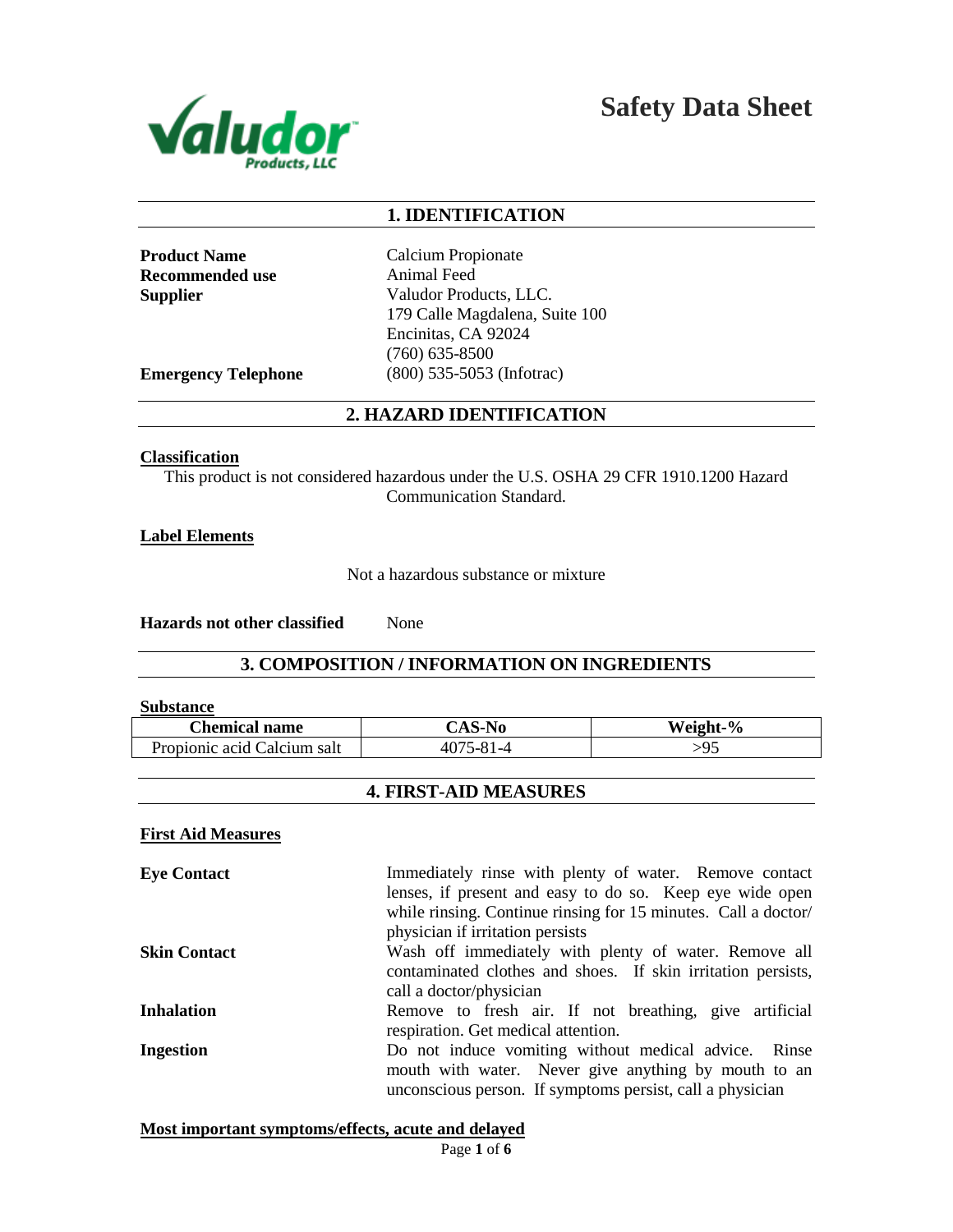

**Safety Data Sheet**

# **1. IDENTIFICATION**

**Recommended use** Animal Feed

**Product Name** Calcium Propionate **Supplier** Valudor Products, LLC. 179 Calle Magdalena, Suite 100 Encinitas, CA 92024 (760) 635-8500 **Emergency Telephone** (800) 535-5053 (Infotrac)

# **2. HAZARD IDENTIFICATION**

#### **Classification**

This product is not considered hazardous under the U.S. OSHA 29 CFR 1910.1200 Hazard Communication Standard.

## **Label Elements**

Not a hazardous substance or mixture

**Hazards not other classified** None

# **3. COMPOSITION / INFORMATION ON INGREDIENTS**

#### **Substance**

| <b>Chemical name</b>        | <b>CAS-No</b>    | Weight-% |
|-----------------------------|------------------|----------|
| Propionic acid Calcium salt | $1 - 81$<br>4075 | -95      |

# **4. FIRST-AID MEASURES**

## **First Aid Measures**

**Eye Contact** Immediately rinse with plenty of water. Remove contact lenses, if present and easy to do so. Keep eye wide open while rinsing. Continue rinsing for 15 minutes. Call a doctor/ physician if irritation persists **Skin Contact** Wash off immediately with plenty of water. Remove all contaminated clothes and shoes. If skin irritation persists, call a doctor/physician **Inhalation** Remove to fresh air. If not breathing, give artificial respiration. Get medical attention. **Ingestion** Do not induce vomiting without medical advice. Rinse mouth with water. Never give anything by mouth to an unconscious person. If symptoms persist, call a physician

**Most important symptoms/effects, acute and delayed**

Page **1** of **6**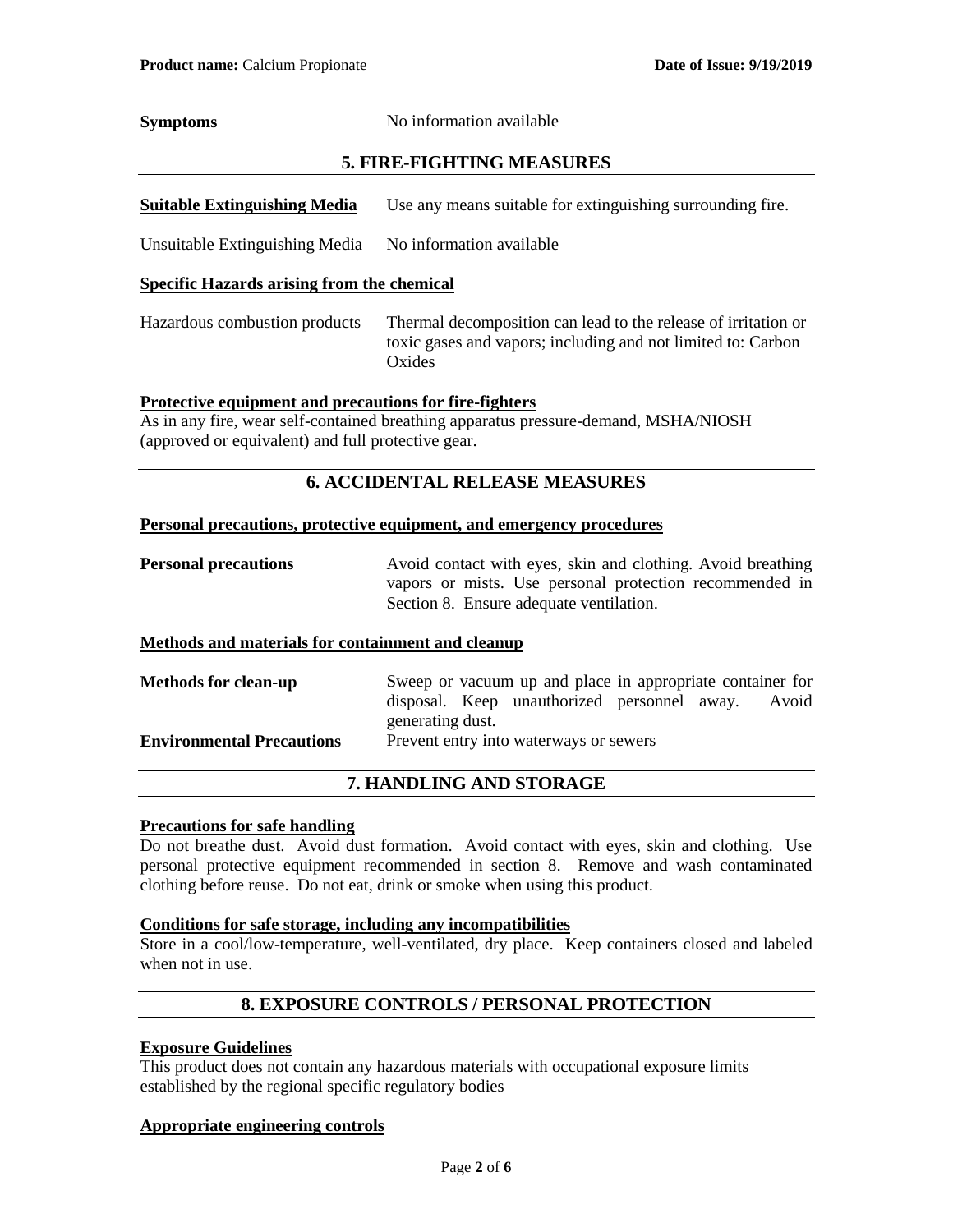**Symptoms** No information available

# **5. FIRE-FIGHTING MEASURES**

**Suitable Extinguishing Media** Use any means suitable for extinguishing surrounding fire.

Unsuitable Extinguishing Media No information available

## **Specific Hazards arising from the chemical**

Hazardous combustion products Thermal decomposition can lead to the release of irritation or toxic gases and vapors; including and not limited to: Carbon **Oxides** 

## **Protective equipment and precautions for fire-fighters**

As in any fire, wear self-contained breathing apparatus pressure-demand, MSHA/NIOSH (approved or equivalent) and full protective gear.

# **6. ACCIDENTAL RELEASE MEASURES**

## **Personal precautions, protective equipment, and emergency procedures**

**Personal precautions** Avoid contact with eyes, skin and clothing. Avoid breathing vapors or mists. Use personal protection recommended in Section 8. Ensure adequate ventilation.

## **Methods and materials for containment and cleanup**

| <b>Methods for clean-up</b>      | Sweep or vacuum up and place in appropriate container for |  |                                             |  |       |
|----------------------------------|-----------------------------------------------------------|--|---------------------------------------------|--|-------|
|                                  |                                                           |  | disposal. Keep unauthorized personnel away. |  | Avoid |
|                                  | generating dust.                                          |  |                                             |  |       |
| <b>Environmental Precautions</b> |                                                           |  | Prevent entry into waterways or sewers      |  |       |

# **7. HANDLING AND STORAGE**

## **Precautions for safe handling**

Do not breathe dust. Avoid dust formation. Avoid contact with eyes, skin and clothing. Use personal protective equipment recommended in section 8. Remove and wash contaminated clothing before reuse. Do not eat, drink or smoke when using this product.

# **Conditions for safe storage, including any incompatibilities**

Store in a cool/low-temperature, well-ventilated, dry place. Keep containers closed and labeled when not in use.

# **8. EXPOSURE CONTROLS / PERSONAL PROTECTION**

## **Exposure Guidelines**

This product does not contain any hazardous materials with occupational exposure limits established by the regional specific regulatory bodies

## **Appropriate engineering controls**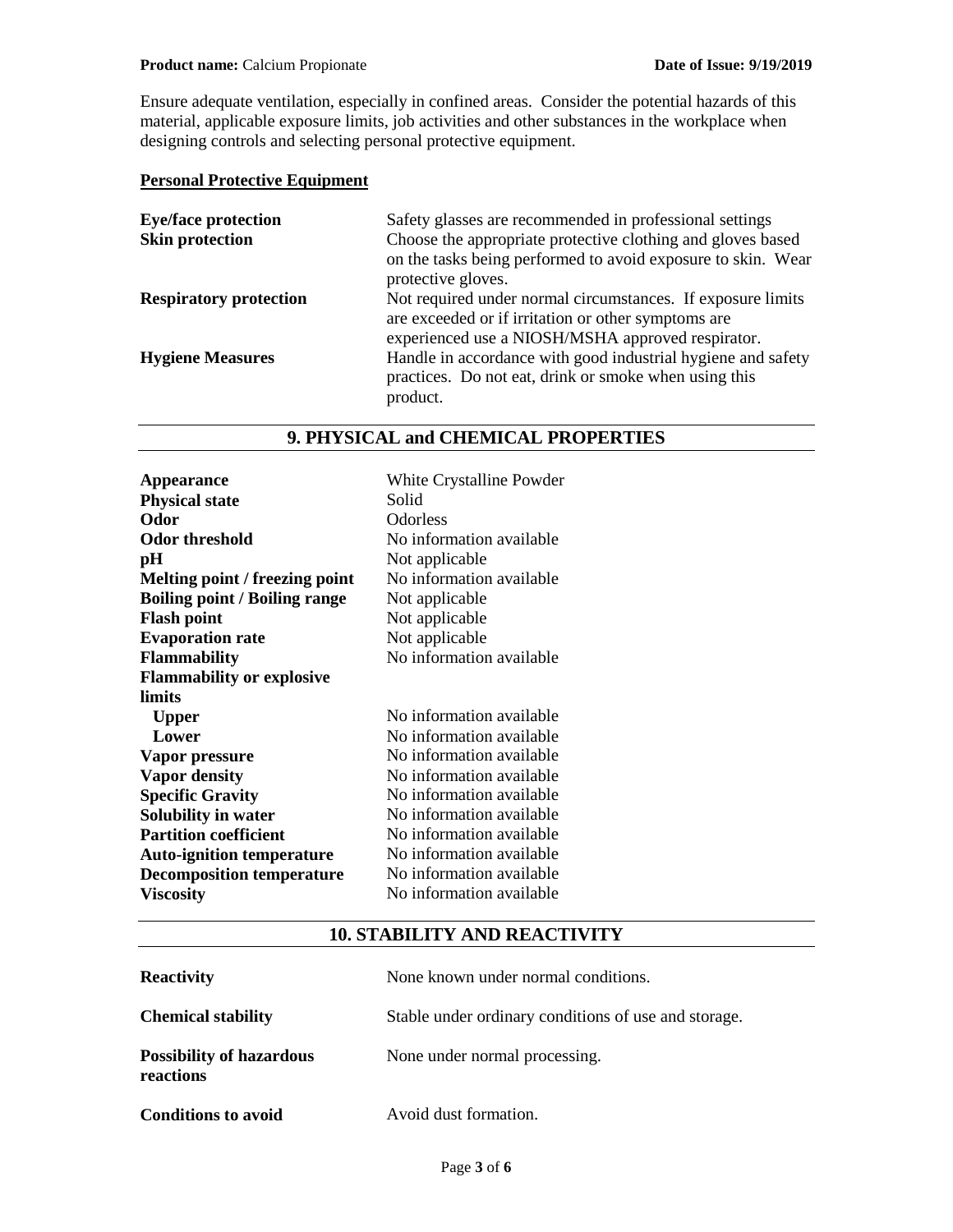Ensure adequate ventilation, especially in confined areas. Consider the potential hazards of this material, applicable exposure limits, job activities and other substances in the workplace when designing controls and selecting personal protective equipment.

# **Personal Protective Equipment**

| <b>Eye/face protection</b>    | Safety glasses are recommended in professional settings      |
|-------------------------------|--------------------------------------------------------------|
| <b>Skin protection</b>        | Choose the appropriate protective clothing and gloves based  |
|                               | on the tasks being performed to avoid exposure to skin. Wear |
|                               | protective gloves.                                           |
| <b>Respiratory protection</b> | Not required under normal circumstances. If exposure limits  |
|                               | are exceeded or if irritation or other symptoms are          |
|                               | experienced use a NIOSH/MSHA approved respirator.            |
| <b>Hygiene Measures</b>       | Handle in accordance with good industrial hygiene and safety |
|                               | practices. Do not eat, drink or smoke when using this        |
|                               | product.                                                     |
|                               |                                                              |

# **9. PHYSICAL and CHEMICAL PROPERTIES**

| Appearance<br><b>Physical state</b><br>Odor<br><b>Odor threshold</b><br>pН<br>Melting point / freezing point<br><b>Boiling point / Boiling range</b><br><b>Flash point</b><br><b>Evaporation rate</b><br><b>Flammability</b><br><b>Flammability or explosive</b><br>limits | White Crystalline Powder<br>Solid<br><b>Odorless</b><br>No information available<br>Not applicable<br>No information available<br>Not applicable<br>Not applicable<br>Not applicable<br>No information available |
|----------------------------------------------------------------------------------------------------------------------------------------------------------------------------------------------------------------------------------------------------------------------------|------------------------------------------------------------------------------------------------------------------------------------------------------------------------------------------------------------------|
| <b>Upper</b>                                                                                                                                                                                                                                                               | No information available                                                                                                                                                                                         |
| Lower                                                                                                                                                                                                                                                                      | No information available                                                                                                                                                                                         |
| Vapor pressure                                                                                                                                                                                                                                                             | No information available                                                                                                                                                                                         |
| <b>Vapor density</b>                                                                                                                                                                                                                                                       | No information available                                                                                                                                                                                         |
| <b>Specific Gravity</b>                                                                                                                                                                                                                                                    | No information available                                                                                                                                                                                         |
| Solubility in water                                                                                                                                                                                                                                                        | No information available                                                                                                                                                                                         |
| <b>Partition coefficient</b>                                                                                                                                                                                                                                               | No information available                                                                                                                                                                                         |
| <b>Auto-ignition temperature</b>                                                                                                                                                                                                                                           | No information available                                                                                                                                                                                         |
| <b>Decomposition temperature</b>                                                                                                                                                                                                                                           | No information available                                                                                                                                                                                         |
| <b>Viscosity</b>                                                                                                                                                                                                                                                           | No information available                                                                                                                                                                                         |

# **10. STABILITY AND REACTIVITY**

| <b>Reactivity</b>                            | None known under normal conditions.                  |
|----------------------------------------------|------------------------------------------------------|
| <b>Chemical stability</b>                    | Stable under ordinary conditions of use and storage. |
| <b>Possibility of hazardous</b><br>reactions | None under normal processing.                        |
| <b>Conditions to avoid</b>                   | Avoid dust formation.                                |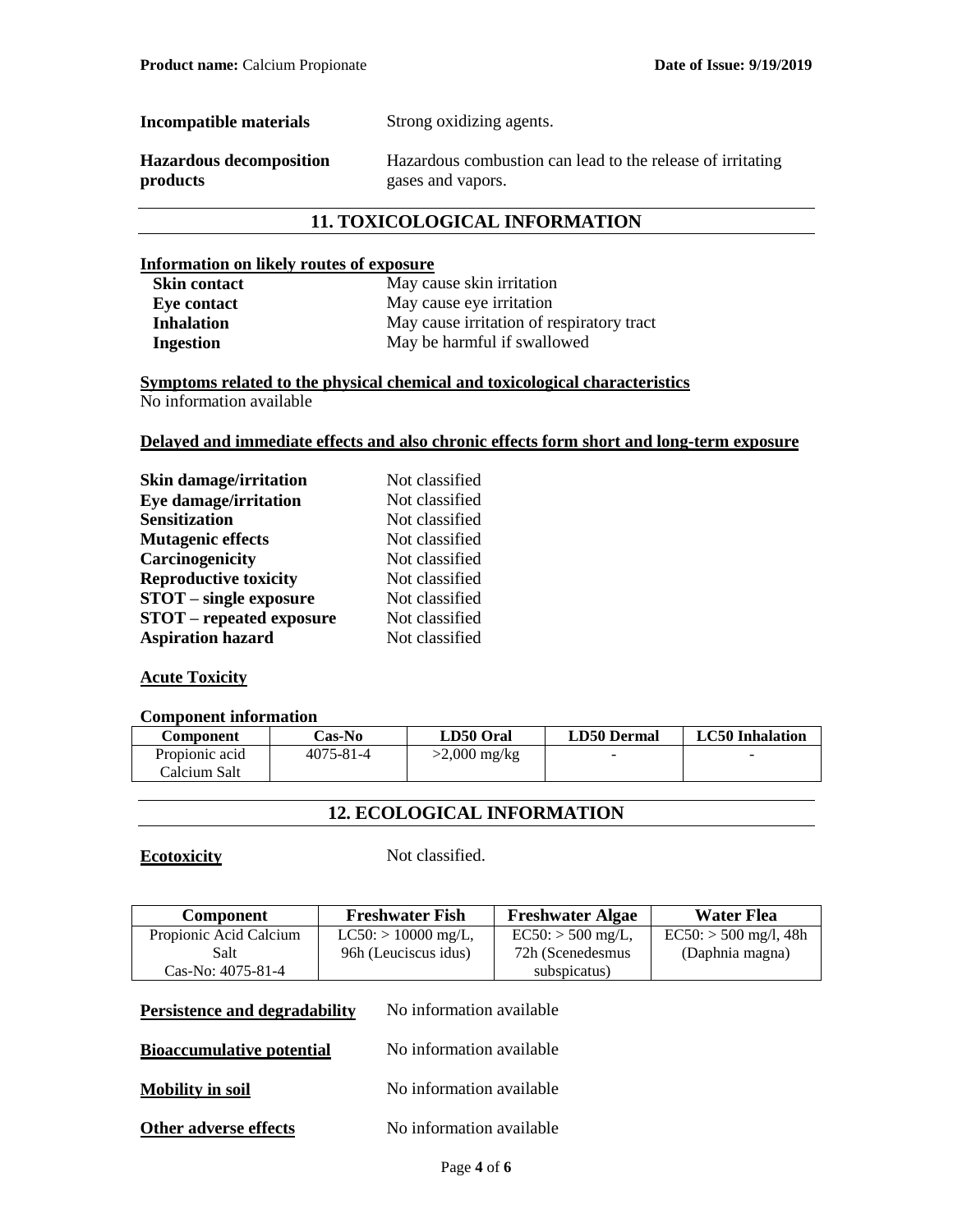| Incompatible materials         | Strong oxidizing agents.                                   |
|--------------------------------|------------------------------------------------------------|
| <b>Hazardous decomposition</b> | Hazardous combustion can lead to the release of irritating |
| products                       | gases and vapors.                                          |

# **11. TOXICOLOGICAL INFORMATION**

## **Information on likely routes of exposure**

| <b>Skin contact</b> | May cause skin irritation                 |
|---------------------|-------------------------------------------|
| Eye contact         | May cause eye irritation                  |
| Inhalation          | May cause irritation of respiratory tract |
| Ingestion           | May be harmful if swallowed               |

**Symptoms related to the physical chemical and toxicological characteristics** No information available

# **Delayed and immediate effects and also chronic effects form short and long-term exposure**

| <b>Skin damage/irritation</b>   | Not classified |
|---------------------------------|----------------|
| <b>Eye damage/irritation</b>    | Not classified |
| <b>Sensitization</b>            | Not classified |
| <b>Mutagenic effects</b>        | Not classified |
| Carcinogenicity                 | Not classified |
| <b>Reproductive toxicity</b>    | Not classified |
| <b>STOT</b> – single exposure   | Not classified |
| <b>STOT</b> – repeated exposure | Not classified |
| <b>Aspiration hazard</b>        | Not classified |

# **Acute Toxicity**

## **Component information**

| Component                 | Cas-No          | LD50 Oral      | <b>LD50 Dermal</b>       | <b>LC50</b> Inhalation |
|---------------------------|-----------------|----------------|--------------------------|------------------------|
| Propionic acid            | $4075 - 81 - 4$ | $>2,000$ mg/kg | $\overline{\phantom{a}}$ |                        |
| <sup>-</sup> Calcium Salt |                 |                |                          |                        |

# **12. ECOLOGICAL INFORMATION**

**Ecotoxicity** Not classified.

| <b>Component</b>                                             | <b>Freshwater Fish</b>   | <b>Freshwater Algae</b> | Water Flea              |
|--------------------------------------------------------------|--------------------------|-------------------------|-------------------------|
| Propionic Acid Calcium                                       | $LC50$ : > 10000 mg/L,   | $EC50: > 500$ mg/L,     | $EC50: > 500$ mg/l, 48h |
| Salt                                                         | 96h (Leuciscus idus)     | 72h (Scenedesmus        | (Daphnia magna)         |
| Cas-No: $4075-81-4$                                          |                          | subspicatus)            |                         |
| Persistence and degradability                                | No information available |                         |                         |
| No information available<br><b>Bioaccumulative potential</b> |                          |                         |                         |
| <b>Mobility in soil</b>                                      | No information available |                         |                         |
| Other adverse effects                                        | No information available |                         |                         |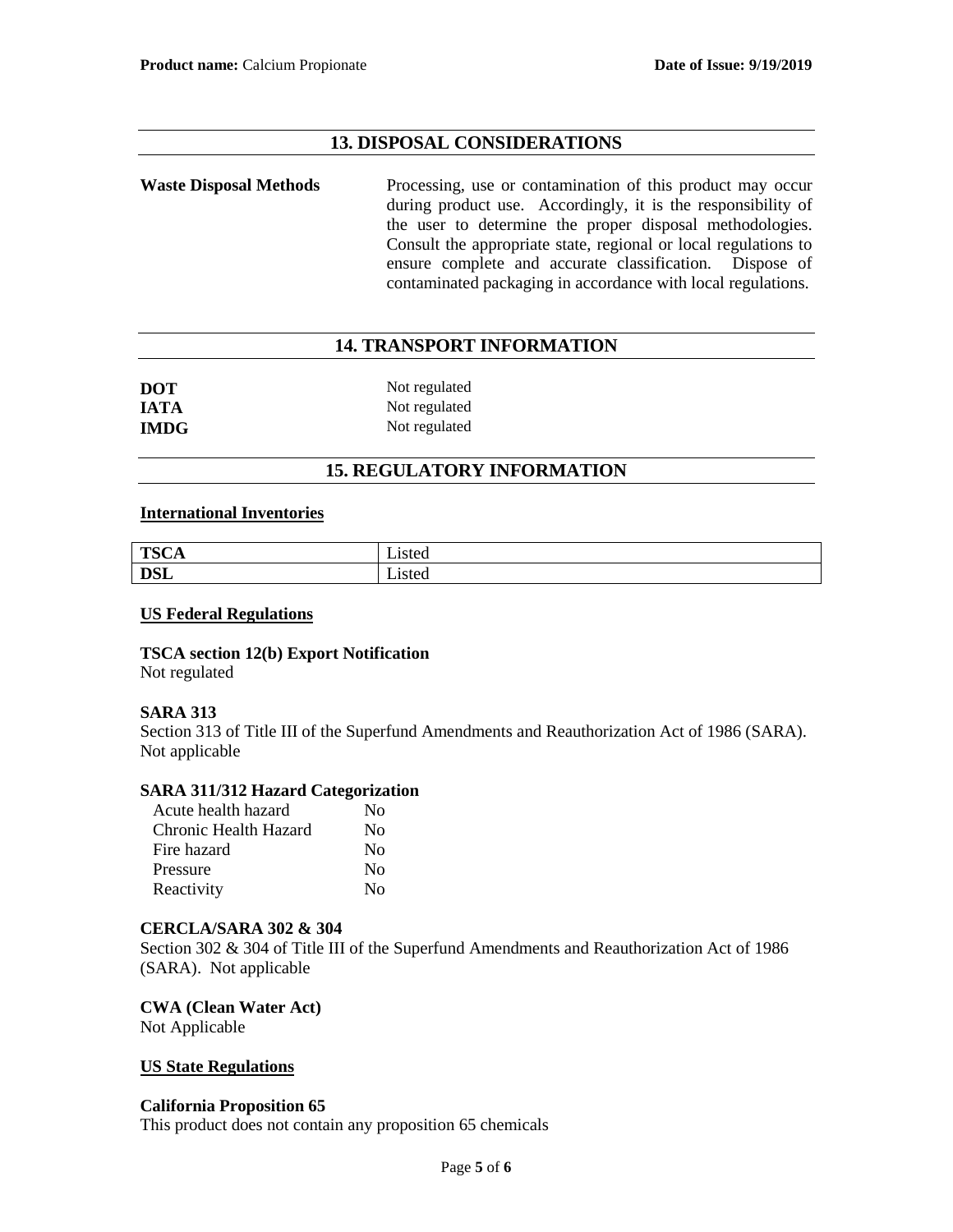# **13. DISPOSAL CONSIDERATIONS**

Waste Disposal Methods Processing, use or contamination of this product may occur during product use. Accordingly, it is the responsibility of the user to determine the proper disposal methodologies. Consult the appropriate state, regional or local regulations to ensure complete and accurate classification. Dispose of contaminated packaging in accordance with local regulations.

# **14. TRANSPORT INFORMATION**

| <b>DOT</b>  | Not regulated |
|-------------|---------------|
| <b>IATA</b> | Not regulated |
| <b>IMDG</b> | Not regulated |

# **15. REGULATORY INFORMATION**

## **International Inventories**

| <b>TSCA</b> | _1sted         |
|-------------|----------------|
| <b>DSL</b>  | $ -$<br>_isted |

## **US Federal Regulations**

**TSCA section 12(b) Export Notification** Not regulated

# **SARA 313**

Section 313 of Title III of the Superfund Amendments and Reauthorization Act of 1986 (SARA). Not applicable

# **SARA 311/312 Hazard Categorization**

| Acute health hazard   | No       |
|-----------------------|----------|
| Chronic Health Hazard | $\rm No$ |
| Fire hazard           | No       |
| Pressure              | No       |
| Reactivity            | $\rm No$ |

## **CERCLA/SARA 302 & 304**

Section 302 & 304 of Title III of the Superfund Amendments and Reauthorization Act of 1986 (SARA). Not applicable

**CWA (Clean Water Act)** Not Applicable

## **US State Regulations**

## **California Proposition 65**

This product does not contain any proposition 65 chemicals